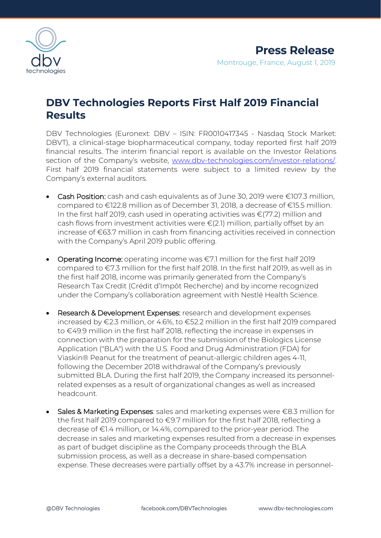

# **DBV Technologies Reports First Half 2019 Financial Results**

DBV Technologies (Euronext: DBV – ISIN: FR0010417345 - Nasdaq Stock Market: DBVT), a clinical-stage biopharmaceutical company, today reported first half 2019 financial results. The interim financial report is available on the Investor Relations section of the Company's website, [www.dbv-technologies.com/investor-relations/.](http://www.dbv-technologies.com/investor-relations/)  First half 2019 financial statements were subject to a limited review by the Company's external auditors.

- Cash Position: cash and cash equivalents as of June 30, 2019 were €107.3 million, compared to €122.8 million as of December 31, 2018, a decrease of €15.5 million. In the first half 2019, cash used in operating activities was €(77.2) million and cash flows from investment activities were €(2.1) million, partially offset by an increase of €63.7 million in cash from financing activities received in connection with the Company's April 2019 public offering.
- Operating Income: operating income was €7.1 million for the first half 2019 compared to €7.3 million for the first half 2018. In the first half 2019, as well as in the first half 2018, income was primarily generated from the Company's Research Tax Credit (Crédit d'Impôt Recherche) and by income recognized under the Company's collaboration agreement with Nestlé Health Science.
- Research & Development Expenses: research and development expenses increased by €2.3 million, or 4.6%, to €52.2 million in the first half 2019 compared to €49.9 million in the first half 2018, reflecting the increase in expenses in connection with the preparation for the submission of the Biologics License Application ("BLA") with the U.S. Food and Drug Administration (FDA) for Viaskin® Peanut for the treatment of peanut-allergic children ages 4-11, following the December 2018 withdrawal of the Company's previously submitted BLA. During the first half 2019, the Company increased its personnelrelated expenses as a result of organizational changes as well as increased headcount.
- Sales & Marketing Expenses: sales and marketing expenses were €8.3 million for the first half 2019 compared to €9.7 million for the first half 2018, reflecting a decrease of €1.4 million, or 14.4%, compared to the prior-year period. The decrease in sales and marketing expenses resulted from a decrease in expenses as part of budget discipline as the Company proceeds through the BLA submission process, as well as a decrease in share-based compensation expense. These decreases were partially offset by a 43.7% increase in personnel-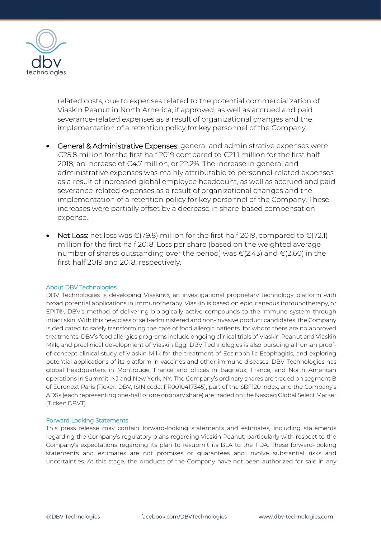

related costs, due to expenses related to the potential commercialization of Viaskin Peanut in North America, if approved, as well as accrued and paid severance-related expenses as a result of organizational changes and the implementation of a retention policy for key personnel of the Company.

- General & Administrative Expenses: general and administrative expenses were €25.8 million for the first half 2019 compared to €21.1 million for the first half 2018, an increase of  $\epsilon$ 4.7 million, or 22.2%. The increase in general and administrative expenses was mainly attributable to personnel-related expenses as a result of increased global employee headcount, as well as accrued and paid severance-related expenses as a result of organizational changes and the implementation of a retention policy for key personnel of the Company. These increases were partially offset by a decrease in share-based compensation expense.
- Net Loss: net loss was  $\epsilon$ (79.8) million for the first half 2019, compared to  $\epsilon$ (72.1) million for the first half 2018. Loss per share (based on the weighted average number of shares outstanding over the period) was  $\epsilon$ (2.43) and  $\epsilon$ (2.60) in the first half 2019 and 2018, respectively.

### About DBV Technologies

DBV Technologies is developing Viaskin®, an investigational proprietary technology platform with broad potential applications in immunotherapy. Viaskin is based on epicutaneous immunotherapy, or EPIT®, DBV's method of delivering biologically active compounds to the immune system through intact skin. With this new class of self-administered and non-invasive product candidates, the Company is dedicated to safely transforming the care of food allergic patients, for whom there are no approved treatments. DBV's food allergies programs include ongoing clinical trials of Viaskin Peanut and Viaskin Milk, and preclinical development of Viaskin Egg. DBV Technologies is also pursuing a human proofof-concept clinical study of Viaskin Milk for the treatment of Eosinophilic Esophagitis, and exploring potential applications of its platform in vaccines and other immune diseases. DBV Technologies has global headquarters in Montrouge, France and offices in Bagneux, France, and North American operations in Summit, NJ and New York, NY. The Company's ordinary shares are traded on segment B of Euronext Paris (Ticker: DBV, ISIN code: FR0010417345), part of the SBF120 index, and the Company's ADSs (each representing one-half of one ordinary share) are traded on the Nasdaq Global Select Market (Ticker: DBVT).

#### Forward Looking Statements

This press release may contain forward-looking statements and estimates, including statements regarding the Company's regulatory plans regarding Viaskin Peanut, particularly with respect to the Company's expectations regarding its plan to resubmit its BLA to the FDA. These forward-looking statements and estimates are not promises or guarantees and involve substantial risks and uncertainties. At this stage, the products of the Company have not been authorized for sale in any